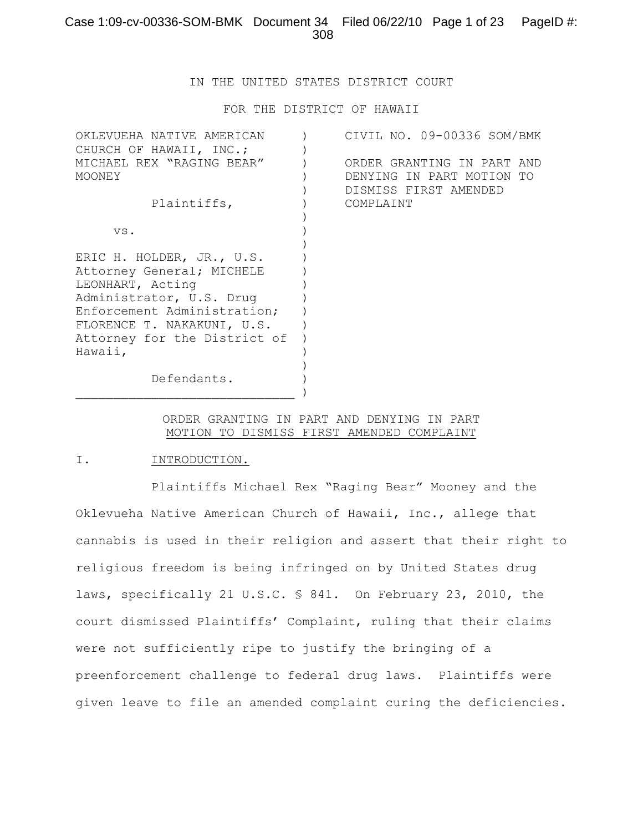IN THE UNITED STATES DISTRICT COURT

FOR THE DISTRICT OF HAWAII

| OKLEVUEHA NATIVE AMERICAN    | CIVIL NO. 09-00336 SOM/BMK |
|------------------------------|----------------------------|
| CHURCH OF HAWAII, INC.;      |                            |
| MICHAEL REX "RAGING BEAR"    | ORDER GRANTING IN PART AND |
| MOONEY                       | DENYING IN PART MOTION TO  |
|                              | DISMISS FIRST AMENDED      |
| Plaintiffs,                  | COMPLAINT                  |
|                              |                            |
| VS.                          |                            |
|                              |                            |
| ERIC H. HOLDER, JR., U.S.    |                            |
| Attorney General; MICHELE    |                            |
| LEONHART, Acting             |                            |
| Administrator, U.S. Drug     |                            |
| Enforcement Administration;  |                            |
| FLORENCE T. NAKAKUNI, U.S.   |                            |
| Attorney for the District of |                            |
| Hawaii,                      |                            |
|                              |                            |
| Defendants.                  |                            |
|                              |                            |
|                              |                            |

#### ORDER GRANTING IN PART AND DENYING IN PART MOTION TO DISMISS FIRST AMENDED COMPLAINT

#### I. INTRODUCTION.

Plaintiffs Michael Rex "Raging Bear" Mooney and the Oklevueha Native American Church of Hawaii, Inc., allege that cannabis is used in their religion and assert that their right to religious freedom is being infringed on by United States drug laws, specifically 21 U.S.C. § 841. On February 23, 2010, the court dismissed Plaintiffs' Complaint, ruling that their claims were not sufficiently ripe to justify the bringing of a preenforcement challenge to federal drug laws. Plaintiffs were given leave to file an amended complaint curing the deficiencies.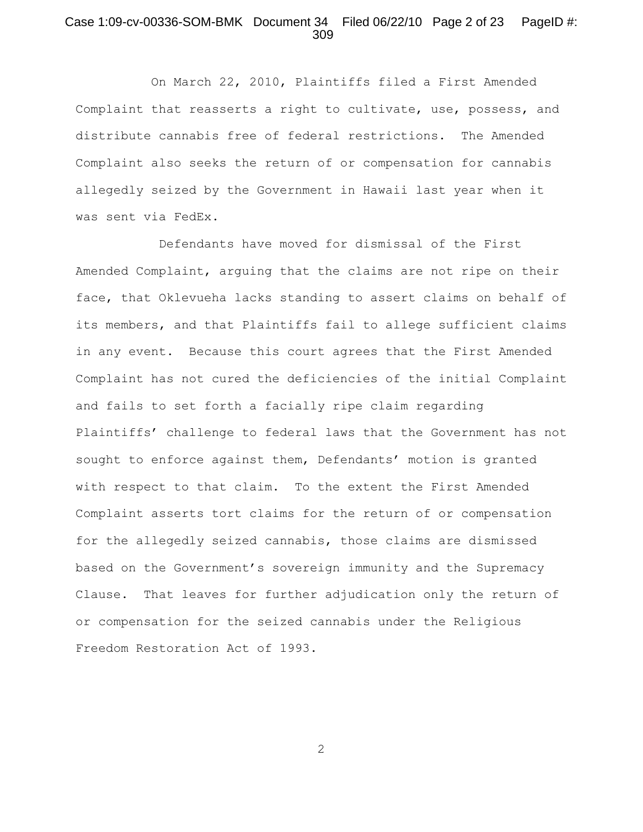#### Case 1:09-cv-00336-SOM-BMK Document 34 Filed 06/22/10 Page 2 of 23 PageID #: 309

On March 22, 2010, Plaintiffs filed a First Amended Complaint that reasserts a right to cultivate, use, possess, and distribute cannabis free of federal restrictions. The Amended Complaint also seeks the return of or compensation for cannabis allegedly seized by the Government in Hawaii last year when it was sent via FedEx.

 Defendants have moved for dismissal of the First Amended Complaint, arguing that the claims are not ripe on their face, that Oklevueha lacks standing to assert claims on behalf of its members, and that Plaintiffs fail to allege sufficient claims in any event. Because this court agrees that the First Amended Complaint has not cured the deficiencies of the initial Complaint and fails to set forth a facially ripe claim regarding Plaintiffs' challenge to federal laws that the Government has not sought to enforce against them, Defendants' motion is granted with respect to that claim. To the extent the First Amended Complaint asserts tort claims for the return of or compensation for the allegedly seized cannabis, those claims are dismissed based on the Government's sovereign immunity and the Supremacy Clause. That leaves for further adjudication only the return of or compensation for the seized cannabis under the Religious Freedom Restoration Act of 1993.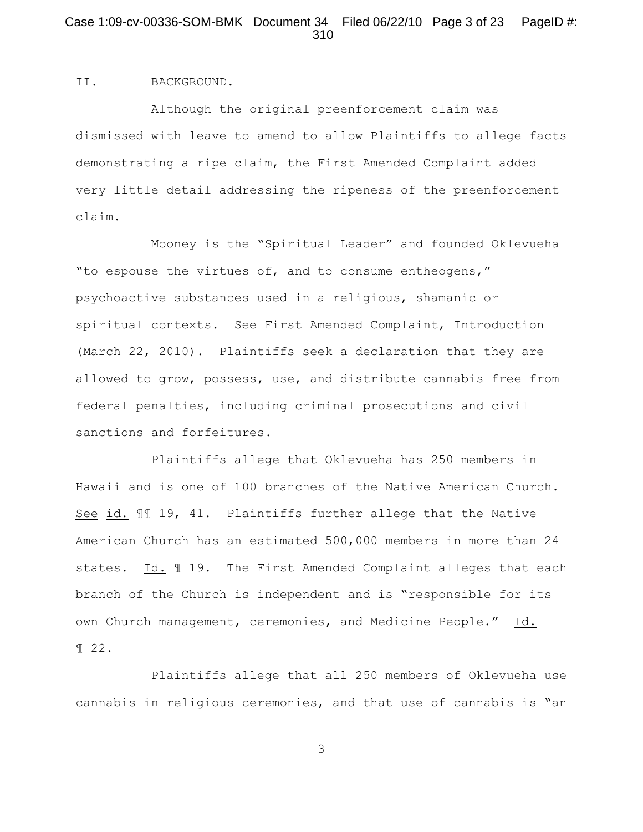## Case 1:09-cv-00336-SOM-BMK Document 34 Filed 06/22/10 Page 3 of 23 PageID #: 310

#### II. BACKGROUND.

Although the original preenforcement claim was dismissed with leave to amend to allow Plaintiffs to allege facts demonstrating a ripe claim, the First Amended Complaint added very little detail addressing the ripeness of the preenforcement claim.

Mooney is the "Spiritual Leader" and founded Oklevueha "to espouse the virtues of, and to consume entheogens," psychoactive substances used in a religious, shamanic or spiritual contexts. See First Amended Complaint, Introduction (March 22, 2010). Plaintiffs seek a declaration that they are allowed to grow, possess, use, and distribute cannabis free from federal penalties, including criminal prosecutions and civil sanctions and forfeitures.

Plaintiffs allege that Oklevueha has 250 members in Hawaii and is one of 100 branches of the Native American Church. See id. ¶¶ 19, 41. Plaintiffs further allege that the Native American Church has an estimated 500,000 members in more than 24 states. Id. ¶ 19. The First Amended Complaint alleges that each branch of the Church is independent and is "responsible for its own Church management, ceremonies, and Medicine People." Id. ¶ 22.

Plaintiffs allege that all 250 members of Oklevueha use cannabis in religious ceremonies, and that use of cannabis is "an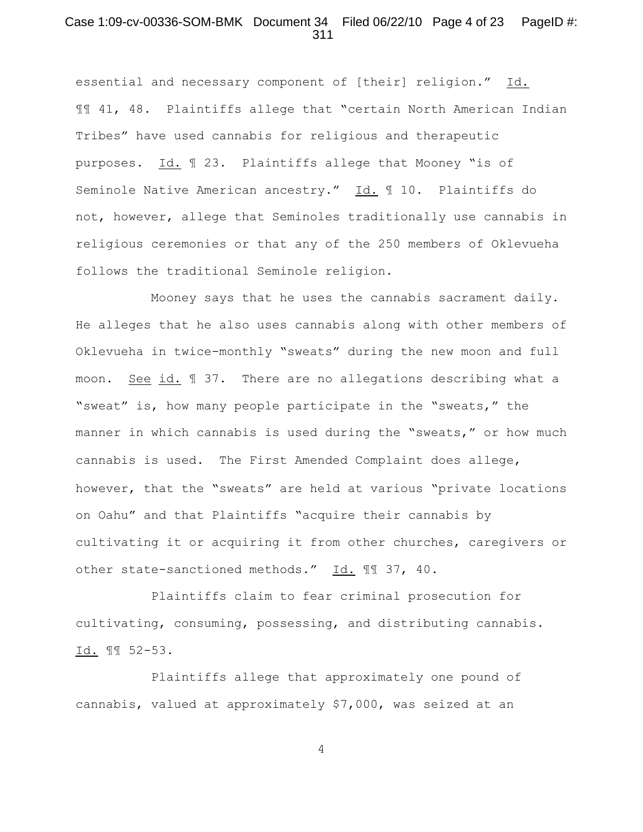#### Case 1:09-cv-00336-SOM-BMK Document 34 Filed 06/22/10 Page 4 of 23 PageID #: 311

essential and necessary component of [their] religion." Id. ¶¶ 41, 48. Plaintiffs allege that "certain North American Indian Tribes" have used cannabis for religious and therapeutic purposes. Id. ¶ 23. Plaintiffs allege that Mooney "is of Seminole Native American ancestry." Id. ¶ 10. Plaintiffs do not, however, allege that Seminoles traditionally use cannabis in religious ceremonies or that any of the 250 members of Oklevueha follows the traditional Seminole religion.

Mooney says that he uses the cannabis sacrament daily. He alleges that he also uses cannabis along with other members of Oklevueha in twice-monthly "sweats" during the new moon and full moon. See id. ¶ 37. There are no allegations describing what a "sweat" is, how many people participate in the "sweats," the manner in which cannabis is used during the "sweats," or how much cannabis is used. The First Amended Complaint does allege, however, that the "sweats" are held at various "private locations on Oahu" and that Plaintiffs "acquire their cannabis by cultivating it or acquiring it from other churches, caregivers or other state-sanctioned methods." Id. 11 37, 40.

Plaintiffs claim to fear criminal prosecution for cultivating, consuming, possessing, and distributing cannabis. Id. ¶¶ 52-53.

Plaintiffs allege that approximately one pound of cannabis, valued at approximately \$7,000, was seized at an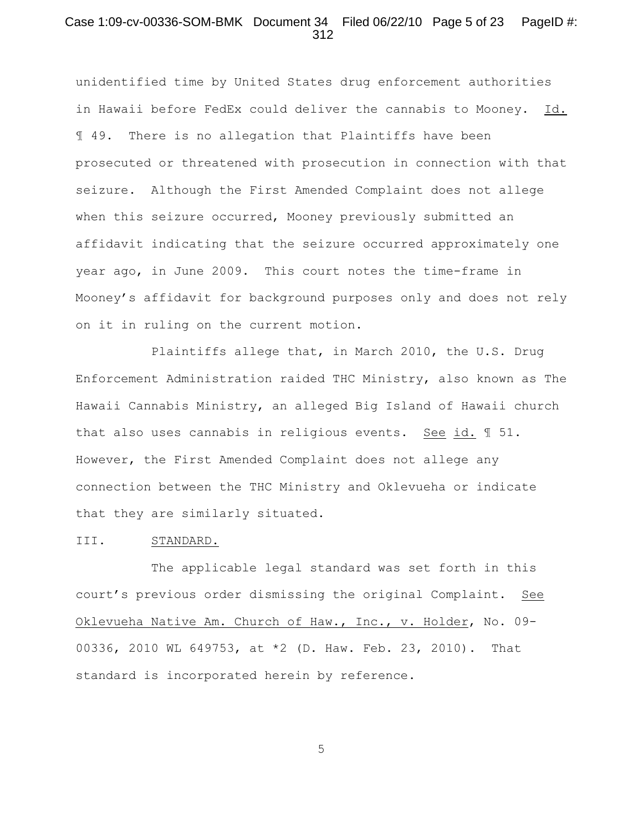#### Case 1:09-cv-00336-SOM-BMK Document 34 Filed 06/22/10 Page 5 of 23 PageID #: 312

unidentified time by United States drug enforcement authorities in Hawaii before FedEx could deliver the cannabis to Mooney. Id. ¶ 49. There is no allegation that Plaintiffs have been prosecuted or threatened with prosecution in connection with that seizure. Although the First Amended Complaint does not allege when this seizure occurred, Mooney previously submitted an affidavit indicating that the seizure occurred approximately one year ago, in June 2009. This court notes the time-frame in Mooney's affidavit for background purposes only and does not rely on it in ruling on the current motion.

Plaintiffs allege that, in March 2010, the U.S. Drug Enforcement Administration raided THC Ministry, also known as The Hawaii Cannabis Ministry, an alleged Big Island of Hawaii church that also uses cannabis in religious events. See id. ¶ 51. However, the First Amended Complaint does not allege any connection between the THC Ministry and Oklevueha or indicate that they are similarly situated.

#### III. STANDARD.

The applicable legal standard was set forth in this court's previous order dismissing the original Complaint. See Oklevueha Native Am. Church of Haw., Inc., v. Holder, No. 09- 00336, 2010 WL 649753, at \*2 (D. Haw. Feb. 23, 2010). That standard is incorporated herein by reference.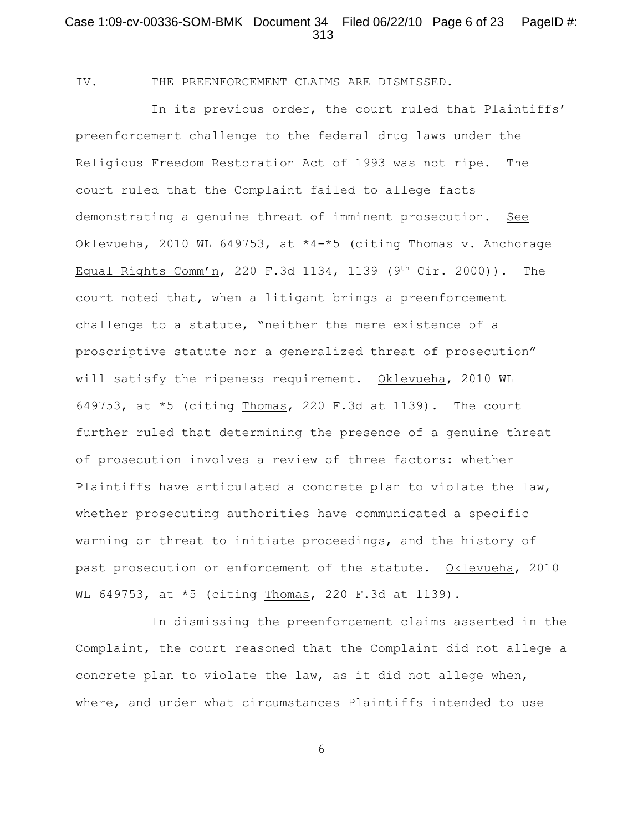### Case 1:09-cv-00336-SOM-BMK Document 34 Filed 06/22/10 Page 6 of 23 PageID #: 313

#### IV. THE PREENFORCEMENT CLAIMS ARE DISMISSED.

In its previous order, the court ruled that Plaintiffs' preenforcement challenge to the federal drug laws under the Religious Freedom Restoration Act of 1993 was not ripe. The court ruled that the Complaint failed to allege facts demonstrating a genuine threat of imminent prosecution. See Oklevueha, 2010 WL 649753, at \*4-\*5 (citing Thomas v. Anchorage Equal Rights Comm'n, 220 F.3d 1134, 1139 (9<sup>th</sup> Cir. 2000)). The court noted that, when a litigant brings a preenforcement challenge to a statute, "neither the mere existence of a proscriptive statute nor a generalized threat of prosecution" will satisfy the ripeness requirement. Oklevueha, 2010 WL 649753, at  $*5$  (citing Thomas, 220 F.3d at 1139). The court further ruled that determining the presence of a genuine threat of prosecution involves a review of three factors: whether Plaintiffs have articulated a concrete plan to violate the law, whether prosecuting authorities have communicated a specific warning or threat to initiate proceedings, and the history of past prosecution or enforcement of the statute. Oklevueha, 2010 WL 649753, at \*5 (citing Thomas, 220 F.3d at 1139).

In dismissing the preenforcement claims asserted in the Complaint, the court reasoned that the Complaint did not allege a concrete plan to violate the law, as it did not allege when, where, and under what circumstances Plaintiffs intended to use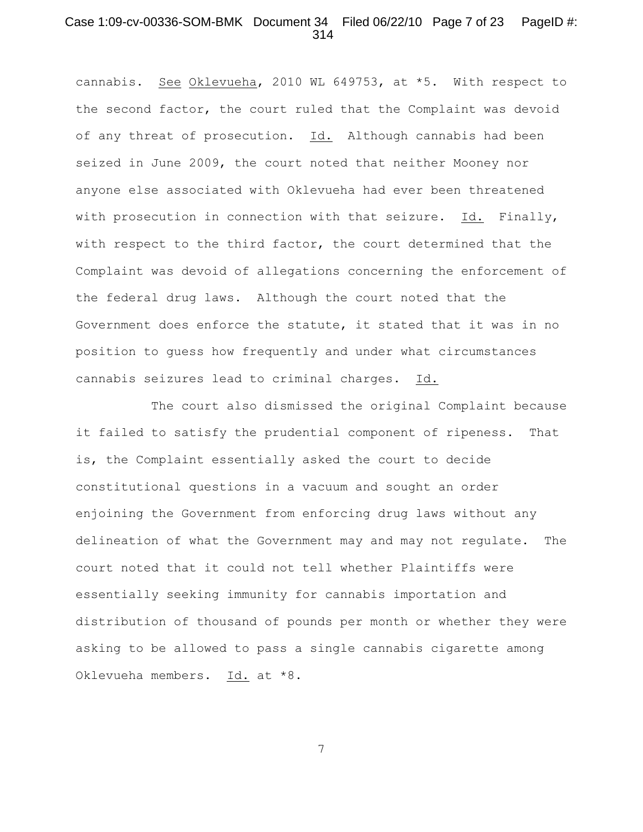#### Case 1:09-cv-00336-SOM-BMK Document 34 Filed 06/22/10 Page 7 of 23 PageID #: 314

cannabis. See Oklevueha, 2010 WL 649753, at \*5. With respect to the second factor, the court ruled that the Complaint was devoid of any threat of prosecution. Id. Although cannabis had been seized in June 2009, the court noted that neither Mooney nor anyone else associated with Oklevueha had ever been threatened with prosecution in connection with that seizure. Id. Finally, with respect to the third factor, the court determined that the Complaint was devoid of allegations concerning the enforcement of the federal drug laws. Although the court noted that the Government does enforce the statute, it stated that it was in no position to guess how frequently and under what circumstances cannabis seizures lead to criminal charges. Id.

The court also dismissed the original Complaint because it failed to satisfy the prudential component of ripeness. That is, the Complaint essentially asked the court to decide constitutional questions in a vacuum and sought an order enjoining the Government from enforcing drug laws without any delineation of what the Government may and may not regulate. The court noted that it could not tell whether Plaintiffs were essentially seeking immunity for cannabis importation and distribution of thousand of pounds per month or whether they were asking to be allowed to pass a single cannabis cigarette among Oklevueha members. Id. at \*8.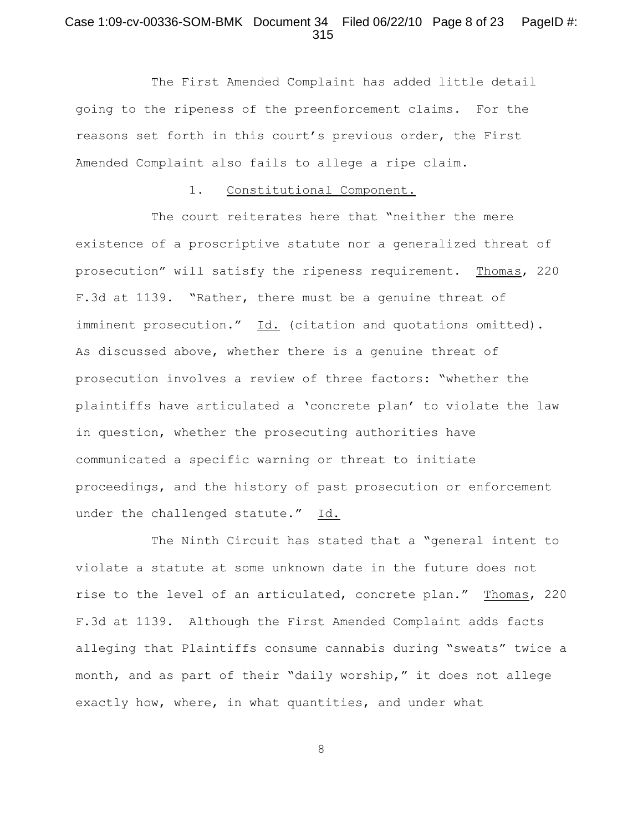## Case 1:09-cv-00336-SOM-BMK Document 34 Filed 06/22/10 Page 8 of 23 PageID #: 315

The First Amended Complaint has added little detail going to the ripeness of the preenforcement claims. For the reasons set forth in this court's previous order, the First Amended Complaint also fails to allege a ripe claim.

### 1. Constitutional Component.

The court reiterates here that "neither the mere existence of a proscriptive statute nor a generalized threat of prosecution" will satisfy the ripeness requirement. Thomas, 220 F.3d at 1139. "Rather, there must be a genuine threat of imminent prosecution." Id. (citation and quotations omitted). As discussed above, whether there is a genuine threat of prosecution involves a review of three factors: "whether the plaintiffs have articulated a 'concrete plan' to violate the law in question, whether the prosecuting authorities have communicated a specific warning or threat to initiate proceedings, and the history of past prosecution or enforcement under the challenged statute." Id.

The Ninth Circuit has stated that a "general intent to violate a statute at some unknown date in the future does not rise to the level of an articulated, concrete plan." Thomas, 220 F.3d at 1139. Although the First Amended Complaint adds facts alleging that Plaintiffs consume cannabis during "sweats" twice a month, and as part of their "daily worship," it does not allege exactly how, where, in what quantities, and under what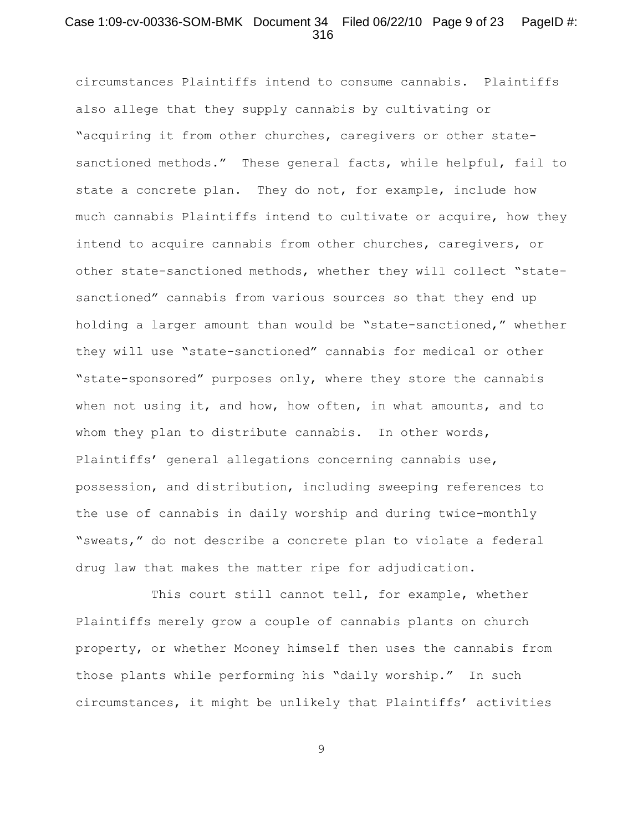### Case 1:09-cv-00336-SOM-BMK Document 34 Filed 06/22/10 Page 9 of 23 PageID #: 316

circumstances Plaintiffs intend to consume cannabis. Plaintiffs also allege that they supply cannabis by cultivating or "acquiring it from other churches, caregivers or other statesanctioned methods." These general facts, while helpful, fail to state a concrete plan. They do not, for example, include how much cannabis Plaintiffs intend to cultivate or acquire, how they intend to acquire cannabis from other churches, caregivers, or other state-sanctioned methods, whether they will collect "statesanctioned" cannabis from various sources so that they end up holding a larger amount than would be "state-sanctioned," whether they will use "state-sanctioned" cannabis for medical or other "state-sponsored" purposes only, where they store the cannabis when not using it, and how, how often, in what amounts, and to whom they plan to distribute cannabis. In other words, Plaintiffs' general allegations concerning cannabis use, possession, and distribution, including sweeping references to the use of cannabis in daily worship and during twice-monthly "sweats," do not describe a concrete plan to violate a federal drug law that makes the matter ripe for adjudication.

This court still cannot tell, for example, whether Plaintiffs merely grow a couple of cannabis plants on church property, or whether Mooney himself then uses the cannabis from those plants while performing his "daily worship." In such circumstances, it might be unlikely that Plaintiffs' activities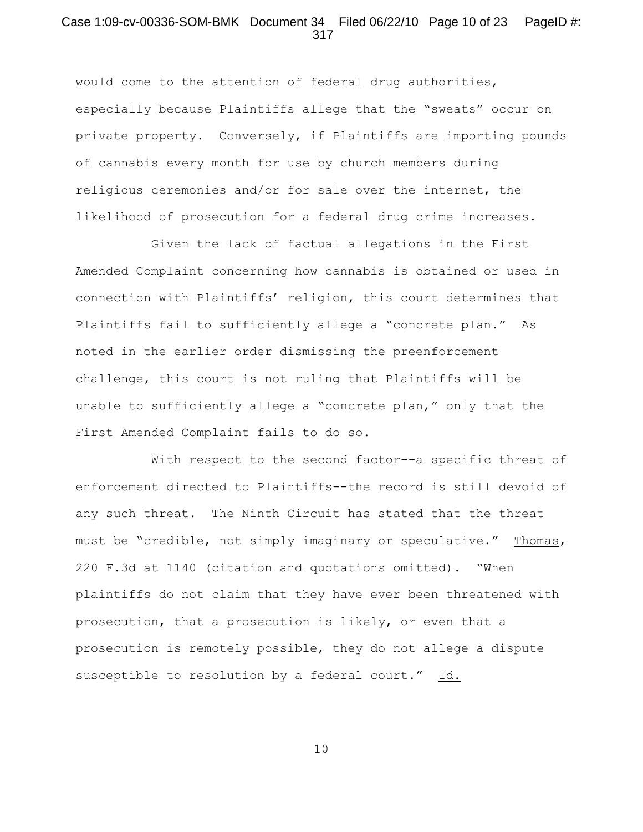### Case 1:09-cv-00336-SOM-BMK Document 34 Filed 06/22/10 Page 10 of 23 PageID #: 317

would come to the attention of federal drug authorities, especially because Plaintiffs allege that the "sweats" occur on private property. Conversely, if Plaintiffs are importing pounds of cannabis every month for use by church members during religious ceremonies and/or for sale over the internet, the likelihood of prosecution for a federal drug crime increases.

Given the lack of factual allegations in the First Amended Complaint concerning how cannabis is obtained or used in connection with Plaintiffs' religion, this court determines that Plaintiffs fail to sufficiently allege a "concrete plan." As noted in the earlier order dismissing the preenforcement challenge, this court is not ruling that Plaintiffs will be unable to sufficiently allege a "concrete plan," only that the First Amended Complaint fails to do so.

With respect to the second factor--a specific threat of enforcement directed to Plaintiffs--the record is still devoid of any such threat. The Ninth Circuit has stated that the threat must be "credible, not simply imaginary or speculative." Thomas, 220 F.3d at 1140 (citation and quotations omitted). "When plaintiffs do not claim that they have ever been threatened with prosecution, that a prosecution is likely, or even that a prosecution is remotely possible, they do not allege a dispute susceptible to resolution by a federal court." Id.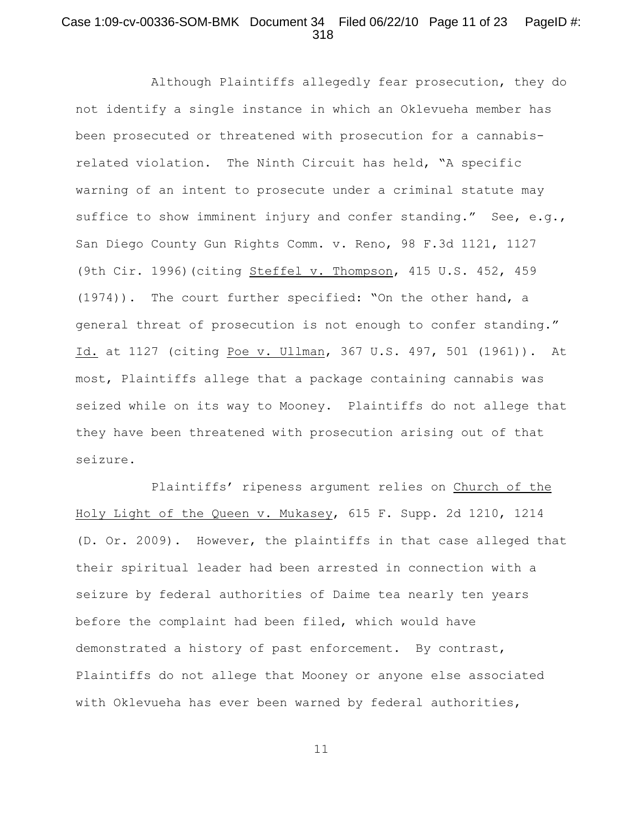## Case 1:09-cv-00336-SOM-BMK Document 34 Filed 06/22/10 Page 11 of 23 PageID #: 318

Although Plaintiffs allegedly fear prosecution, they do not identify a single instance in which an Oklevueha member has been prosecuted or threatened with prosecution for a cannabisrelated violation. The Ninth Circuit has held, "A specific warning of an intent to prosecute under a criminal statute may suffice to show imminent injury and confer standing." See, e.g., San Diego County Gun Rights Comm. v. Reno, 98 F.3d 1121, 1127 (9th Cir. 1996)(citing Steffel v. Thompson, 415 U.S. 452, 459 (1974)). The court further specified: "On the other hand, a general threat of prosecution is not enough to confer standing." Id. at 1127 (citing Poe v. Ullman, 367 U.S. 497, 501 (1961)). At most, Plaintiffs allege that a package containing cannabis was seized while on its way to Mooney. Plaintiffs do not allege that they have been threatened with prosecution arising out of that seizure.

Plaintiffs' ripeness argument relies on Church of the Holy Light of the Queen v. Mukasey, 615 F. Supp. 2d 1210, 1214 (D. Or. 2009). However, the plaintiffs in that case alleged that their spiritual leader had been arrested in connection with a seizure by federal authorities of Daime tea nearly ten years before the complaint had been filed, which would have demonstrated a history of past enforcement. By contrast, Plaintiffs do not allege that Mooney or anyone else associated with Oklevueha has ever been warned by federal authorities,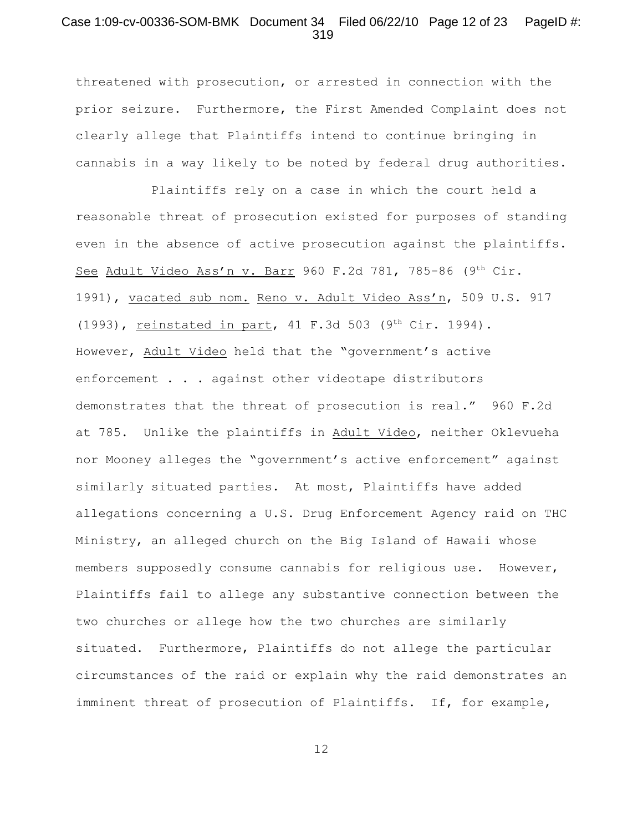### Case 1:09-cv-00336-SOM-BMK Document 34 Filed 06/22/10 Page 12 of 23 PageID #: 319

threatened with prosecution, or arrested in connection with the prior seizure. Furthermore, the First Amended Complaint does not clearly allege that Plaintiffs intend to continue bringing in cannabis in a way likely to be noted by federal drug authorities.

Plaintiffs rely on a case in which the court held a reasonable threat of prosecution existed for purposes of standing even in the absence of active prosecution against the plaintiffs. See Adult Video Ass'n v. Barr 960 F.2d 781, 785-86 (9th Cir. 1991), vacated sub nom. Reno v. Adult Video Ass'n, 509 U.S. 917 (1993), reinstated in part, 41 F.3d 503 (9<sup>th</sup> Cir. 1994). However, Adult Video held that the "government's active enforcement . . . against other videotape distributors demonstrates that the threat of prosecution is real." 960 F.2d at 785. Unlike the plaintiffs in Adult Video, neither Oklevueha nor Mooney alleges the "government's active enforcement" against similarly situated parties. At most, Plaintiffs have added allegations concerning a U.S. Drug Enforcement Agency raid on THC Ministry, an alleged church on the Big Island of Hawaii whose members supposedly consume cannabis for religious use. However, Plaintiffs fail to allege any substantive connection between the two churches or allege how the two churches are similarly situated. Furthermore, Plaintiffs do not allege the particular circumstances of the raid or explain why the raid demonstrates an imminent threat of prosecution of Plaintiffs. If, for example,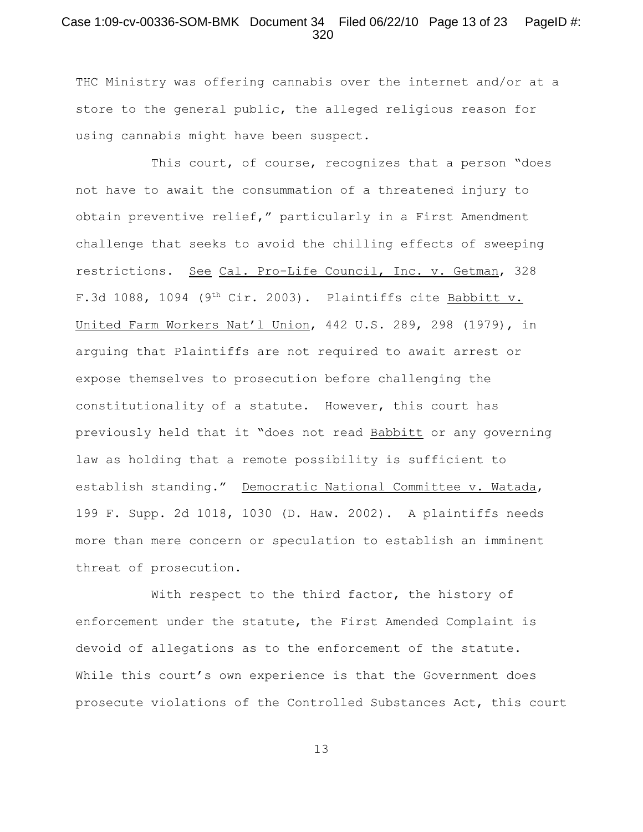### Case 1:09-cv-00336-SOM-BMK Document 34 Filed 06/22/10 Page 13 of 23 PageID #: 320

THC Ministry was offering cannabis over the internet and/or at a store to the general public, the alleged religious reason for using cannabis might have been suspect.

This court, of course, recognizes that a person "does not have to await the consummation of a threatened injury to obtain preventive relief," particularly in a First Amendment challenge that seeks to avoid the chilling effects of sweeping restrictions. See Cal. Pro-Life Council, Inc. v. Getman, 328 F.3d 1088, 1094 (9<sup>th</sup> Cir. 2003). Plaintiffs cite Babbitt v. United Farm Workers Nat'l Union, 442 U.S. 289, 298 (1979), in arguing that Plaintiffs are not required to await arrest or expose themselves to prosecution before challenging the constitutionality of a statute. However, this court has previously held that it "does not read Babbitt or any governing law as holding that a remote possibility is sufficient to establish standing." Democratic National Committee v. Watada, 199 F. Supp. 2d 1018, 1030 (D. Haw. 2002). A plaintiffs needs more than mere concern or speculation to establish an imminent threat of prosecution.

With respect to the third factor, the history of enforcement under the statute, the First Amended Complaint is devoid of allegations as to the enforcement of the statute. While this court's own experience is that the Government does prosecute violations of the Controlled Substances Act, this court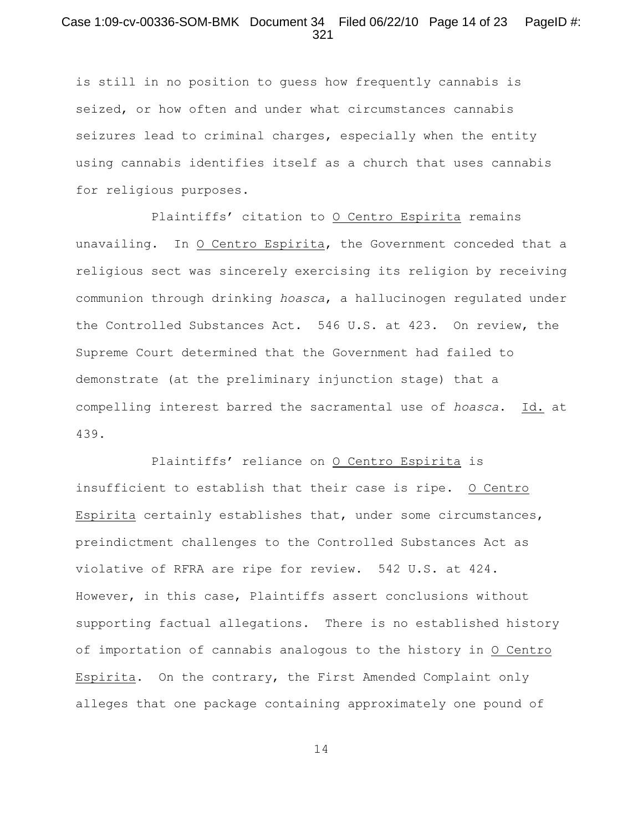## Case 1:09-cv-00336-SOM-BMK Document 34 Filed 06/22/10 Page 14 of 23 PageID #: 321

is still in no position to guess how frequently cannabis is seized, or how often and under what circumstances cannabis seizures lead to criminal charges, especially when the entity using cannabis identifies itself as a church that uses cannabis for religious purposes.

Plaintiffs' citation to O Centro Espirita remains unavailing. In O Centro Espirita, the Government conceded that a religious sect was sincerely exercising its religion by receiving communion through drinking *hoasca*, a hallucinogen regulated under the Controlled Substances Act. 546 U.S. at 423. On review, the Supreme Court determined that the Government had failed to demonstrate (at the preliminary injunction stage) that a compelling interest barred the sacramental use of *hoasca*. Id. at 439.

Plaintiffs' reliance on O Centro Espirita is insufficient to establish that their case is ripe. O Centro Espirita certainly establishes that, under some circumstances, preindictment challenges to the Controlled Substances Act as violative of RFRA are ripe for review. 542 U.S. at 424. However, in this case, Plaintiffs assert conclusions without supporting factual allegations. There is no established history of importation of cannabis analogous to the history in O Centro Espirita. On the contrary, the First Amended Complaint only alleges that one package containing approximately one pound of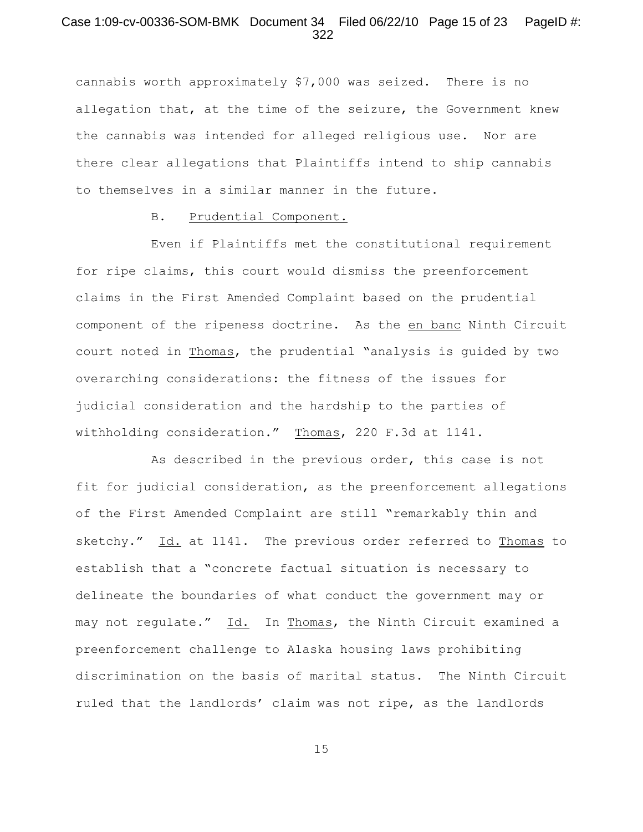## Case 1:09-cv-00336-SOM-BMK Document 34 Filed 06/22/10 Page 15 of 23 PageID #: 322

cannabis worth approximately \$7,000 was seized. There is no allegation that, at the time of the seizure, the Government knew the cannabis was intended for alleged religious use. Nor are there clear allegations that Plaintiffs intend to ship cannabis to themselves in a similar manner in the future.

#### B. Prudential Component.

Even if Plaintiffs met the constitutional requirement for ripe claims, this court would dismiss the preenforcement claims in the First Amended Complaint based on the prudential component of the ripeness doctrine. As the en banc Ninth Circuit court noted in Thomas, the prudential "analysis is guided by two overarching considerations: the fitness of the issues for judicial consideration and the hardship to the parties of withholding consideration." Thomas, 220 F.3d at 1141.

As described in the previous order, this case is not fit for judicial consideration, as the preenforcement allegations of the First Amended Complaint are still "remarkably thin and sketchy." Id. at 1141. The previous order referred to Thomas to establish that a "concrete factual situation is necessary to delineate the boundaries of what conduct the government may or may not regulate." Id. In Thomas, the Ninth Circuit examined a preenforcement challenge to Alaska housing laws prohibiting discrimination on the basis of marital status. The Ninth Circuit ruled that the landlords' claim was not ripe, as the landlords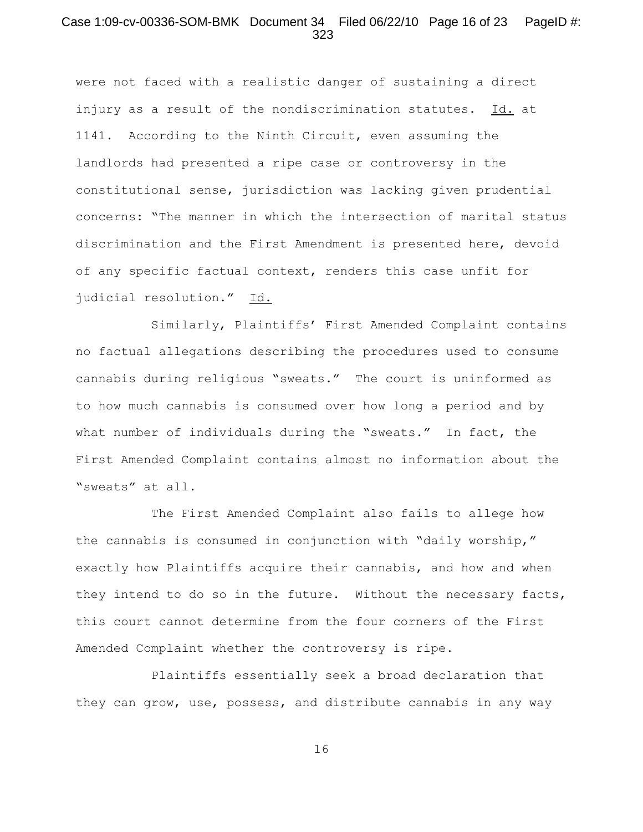#### Case 1:09-cv-00336-SOM-BMK Document 34 Filed 06/22/10 Page 16 of 23 PageID #: 323

were not faced with a realistic danger of sustaining a direct injury as a result of the nondiscrimination statutes. Id. at 1141. According to the Ninth Circuit, even assuming the landlords had presented a ripe case or controversy in the constitutional sense, jurisdiction was lacking given prudential concerns: "The manner in which the intersection of marital status discrimination and the First Amendment is presented here, devoid of any specific factual context, renders this case unfit for judicial resolution." Id.

Similarly, Plaintiffs' First Amended Complaint contains no factual allegations describing the procedures used to consume cannabis during religious "sweats." The court is uninformed as to how much cannabis is consumed over how long a period and by what number of individuals during the "sweats." In fact, the First Amended Complaint contains almost no information about the "sweats" at all.

The First Amended Complaint also fails to allege how the cannabis is consumed in conjunction with "daily worship," exactly how Plaintiffs acquire their cannabis, and how and when they intend to do so in the future. Without the necessary facts, this court cannot determine from the four corners of the First Amended Complaint whether the controversy is ripe.

Plaintiffs essentially seek a broad declaration that they can grow, use, possess, and distribute cannabis in any way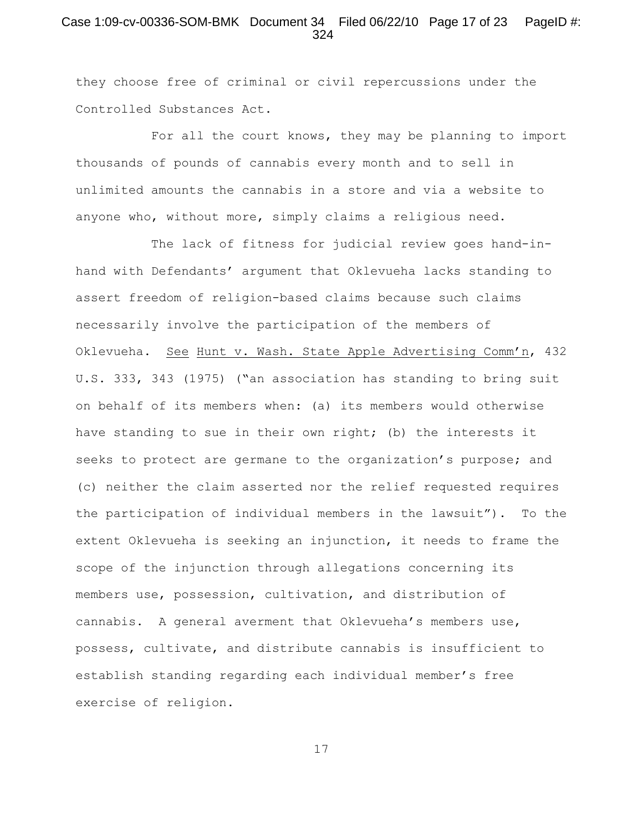## Case 1:09-cv-00336-SOM-BMK Document 34 Filed 06/22/10 Page 17 of 23 PageID #: 324

they choose free of criminal or civil repercussions under the Controlled Substances Act.

For all the court knows, they may be planning to import thousands of pounds of cannabis every month and to sell in unlimited amounts the cannabis in a store and via a website to anyone who, without more, simply claims a religious need.

The lack of fitness for judicial review goes hand-inhand with Defendants' argument that Oklevueha lacks standing to assert freedom of religion-based claims because such claims necessarily involve the participation of the members of Oklevueha. See Hunt v. Wash. State Apple Advertising Comm'n, 432 U.S. 333, 343 (1975) ("an association has standing to bring suit on behalf of its members when: (a) its members would otherwise have standing to sue in their own right; (b) the interests it seeks to protect are germane to the organization's purpose; and (c) neither the claim asserted nor the relief requested requires the participation of individual members in the lawsuit"). To the extent Oklevueha is seeking an injunction, it needs to frame the scope of the injunction through allegations concerning its members use, possession, cultivation, and distribution of cannabis. A general averment that Oklevueha's members use, possess, cultivate, and distribute cannabis is insufficient to establish standing regarding each individual member's free exercise of religion.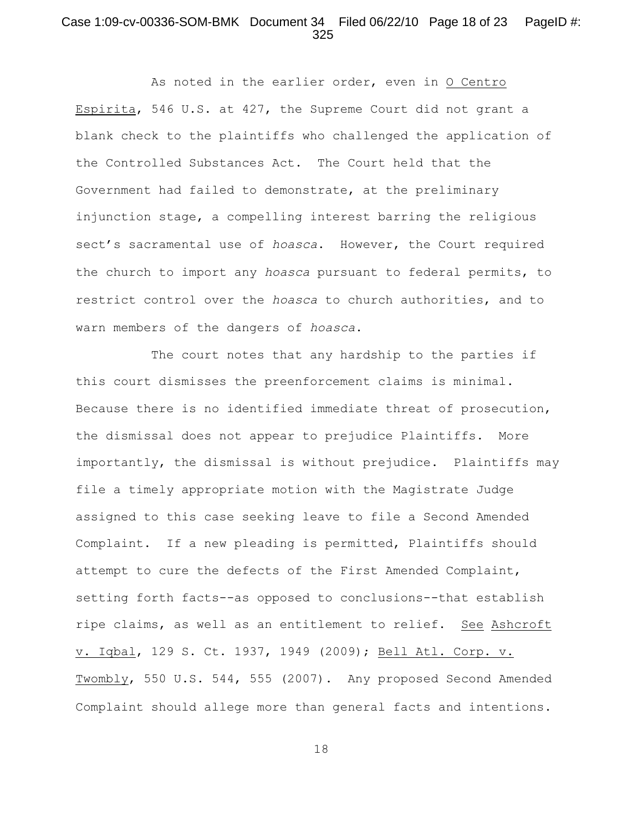#### Case 1:09-cv-00336-SOM-BMK Document 34 Filed 06/22/10 Page 18 of 23 PageID #: 325

As noted in the earlier order, even in O Centro Espirita, 546 U.S. at 427, the Supreme Court did not grant a blank check to the plaintiffs who challenged the application of the Controlled Substances Act. The Court held that the Government had failed to demonstrate, at the preliminary injunction stage, a compelling interest barring the religious sect's sacramental use of *hoasca*. However, the Court required the church to import any *hoasca* pursuant to federal permits, to restrict control over the *hoasca* to church authorities, and to warn members of the dangers of *hoasca*.

The court notes that any hardship to the parties if this court dismisses the preenforcement claims is minimal. Because there is no identified immediate threat of prosecution, the dismissal does not appear to prejudice Plaintiffs. More importantly, the dismissal is without prejudice. Plaintiffs may file a timely appropriate motion with the Magistrate Judge assigned to this case seeking leave to file a Second Amended Complaint. If a new pleading is permitted, Plaintiffs should attempt to cure the defects of the First Amended Complaint, setting forth facts--as opposed to conclusions--that establish ripe claims, as well as an entitlement to relief. See Ashcroft v. Iqbal, 129 S. Ct. 1937, 1949 (2009); Bell Atl. Corp. v. Twombly, 550 U.S. 544, 555 (2007).Any proposed Second Amended Complaint should allege more than general facts and intentions.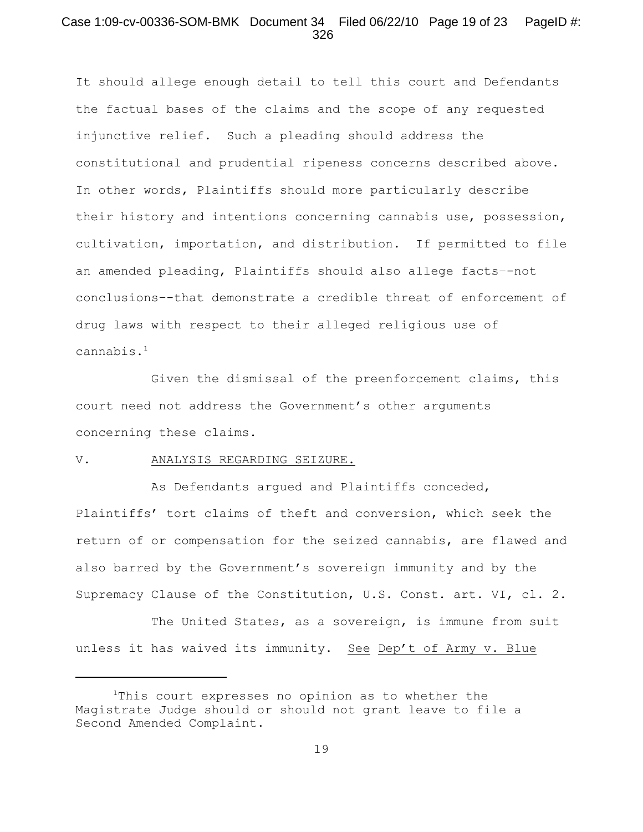### Case 1:09-cv-00336-SOM-BMK Document 34 Filed 06/22/10 Page 19 of 23 PageID #: 326

It should allege enough detail to tell this court and Defendants the factual bases of the claims and the scope of any requested injunctive relief. Such a pleading should address the constitutional and prudential ripeness concerns described above. In other words, Plaintiffs should more particularly describe their history and intentions concerning cannabis use, possession, cultivation, importation, and distribution. If permitted to file an amended pleading, Plaintiffs should also allege facts–-not conclusions–-that demonstrate a credible threat of enforcement of drug laws with respect to their alleged religious use of cannabis.<sup>1</sup>

Given the dismissal of the preenforcement claims, this court need not address the Government's other arguments concerning these claims.

#### V. ANALYSIS REGARDING SEIZURE.

As Defendants argued and Plaintiffs conceded, Plaintiffs' tort claims of theft and conversion, which seek the return of or compensation for the seized cannabis, are flawed and also barred by the Government's sovereign immunity and by the Supremacy Clause of the Constitution, U.S. Const. art. VI, cl. 2.

The United States, as a sovereign, is immune from suit unless it has waived its immunity. See Dep't of Army v. Blue

 $1$ This court expresses no opinion as to whether the Magistrate Judge should or should not grant leave to file a Second Amended Complaint.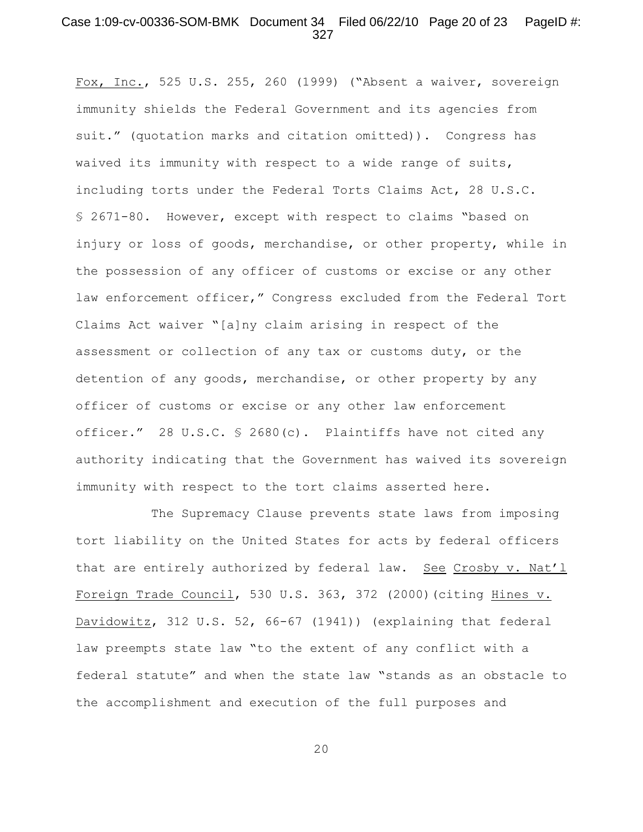### Case 1:09-cv-00336-SOM-BMK Document 34 Filed 06/22/10 Page 20 of 23 PageID #: 327

Fox, Inc., 525 U.S. 255, 260 (1999) ("Absent a waiver, sovereign immunity shields the Federal Government and its agencies from suit." (quotation marks and citation omitted)). Congress has waived its immunity with respect to a wide range of suits, including torts under the Federal Torts Claims Act, 28 U.S.C. § 2671-80. However, except with respect to claims "based on injury or loss of goods, merchandise, or other property, while in the possession of any officer of customs or excise or any other law enforcement officer," Congress excluded from the Federal Tort Claims Act waiver "[a]ny claim arising in respect of the assessment or collection of any tax or customs duty, or the detention of any goods, merchandise, or other property by any officer of customs or excise or any other law enforcement officer." 28 U.S.C. § 2680(c). Plaintiffs have not cited any authority indicating that the Government has waived its sovereign immunity with respect to the tort claims asserted here.

The Supremacy Clause prevents state laws from imposing tort liability on the United States for acts by federal officers that are entirely authorized by federal law. See Crosby v. Nat'l Foreign Trade Council, 530 U.S. 363, 372 (2000)(citing Hines v. Davidowitz, 312 U.S. 52, 66-67 (1941)) (explaining that federal law preempts state law "to the extent of any conflict with a federal statute" and when the state law "stands as an obstacle to the accomplishment and execution of the full purposes and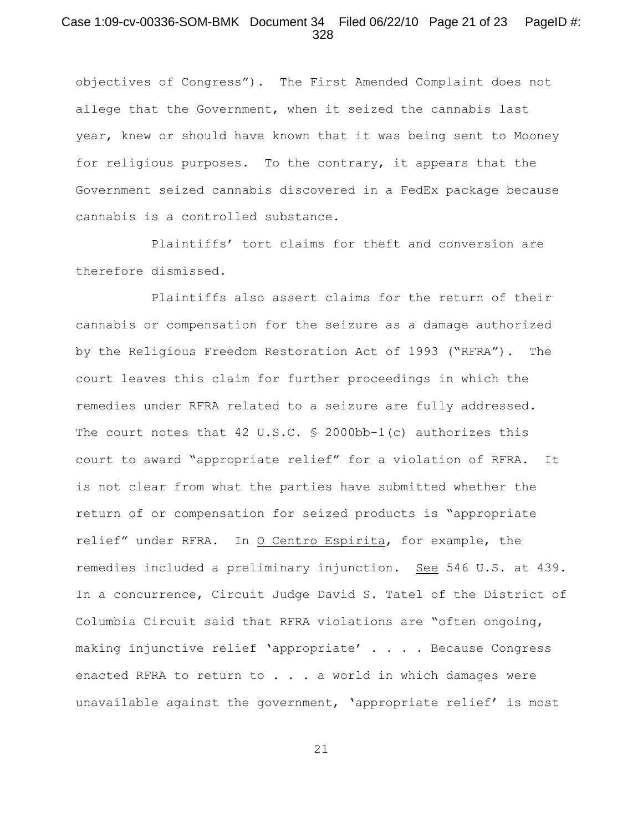#### Case 1:09-cv-00336-SOM-BMK Document 34 Filed 06/22/10 Page 21 of 23 PageID #: 328

objectives of Congress"). The First Amended Complaint does not allege that the Government, when it seized the cannabis last year, knew or should have known that it was being sent to Mooney for religious purposes. To the contrary, it appears that the Government seized cannabis discovered in a FedEx package because cannabis is a controlled substance.

Plaintiffs' tort claims for theft and conversion are therefore dismissed.

Plaintiffs also assert claims for the return of their cannabis or compensation for the seizure as a damage authorized by the Religious Freedom Restoration Act of 1993 ("RFRA"). The court leaves this claim for further proceedings in which the remedies under RFRA related to a seizure are fully addressed. The court notes that 42 U.S.C. § 2000bb-1(c) authorizes this court to award "appropriate relief" for a violation of RFRA. It is not clear from what the parties have submitted whether the return of or compensation for seized products is "appropriate relief" under RFRA. In O Centro Espirita, for example, the remedies included a preliminary injunction. See 546 U.S. at 439. In a concurrence, Circuit Judge David S. Tatel of the District of Columbia Circuit said that RFRA violations are "often ongoing, making injunctive relief 'appropriate' . . . . Because Congress enacted RFRA to return to . . . a world in which damages were unavailable against the government, 'appropriate relief' is most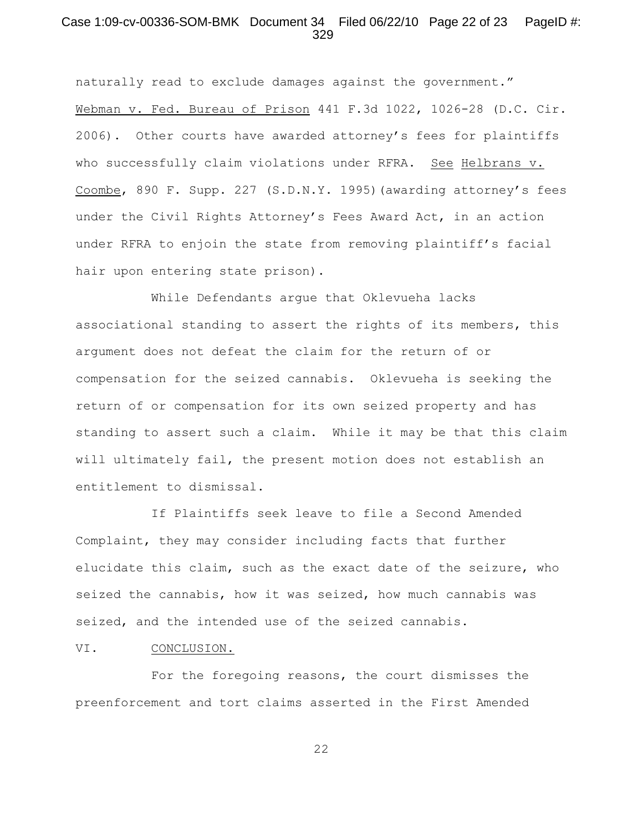#### Case 1:09-cv-00336-SOM-BMK Document 34 Filed 06/22/10 Page 22 of 23 PageID #: 329

naturally read to exclude damages against the government." Webman v. Fed. Bureau of Prison 441 F.3d 1022, 1026-28 (D.C. Cir. 2006). Other courts have awarded attorney's fees for plaintiffs who successfully claim violations under RFRA. See Helbrans v. Coombe, 890 F. Supp. 227 (S.D.N.Y. 1995)(awarding attorney's fees under the Civil Rights Attorney's Fees Award Act, in an action under RFRA to enjoin the state from removing plaintiff's facial hair upon entering state prison).

While Defendants argue that Oklevueha lacks associational standing to assert the rights of its members, this argument does not defeat the claim for the return of or compensation for the seized cannabis. Oklevueha is seeking the return of or compensation for its own seized property and has standing to assert such a claim. While it may be that this claim will ultimately fail, the present motion does not establish an entitlement to dismissal.

If Plaintiffs seek leave to file a Second Amended Complaint, they may consider including facts that further elucidate this claim, such as the exact date of the seizure, who seized the cannabis, how it was seized, how much cannabis was seized, and the intended use of the seized cannabis.

VI. CONCLUSION.

For the foregoing reasons, the court dismisses the preenforcement and tort claims asserted in the First Amended